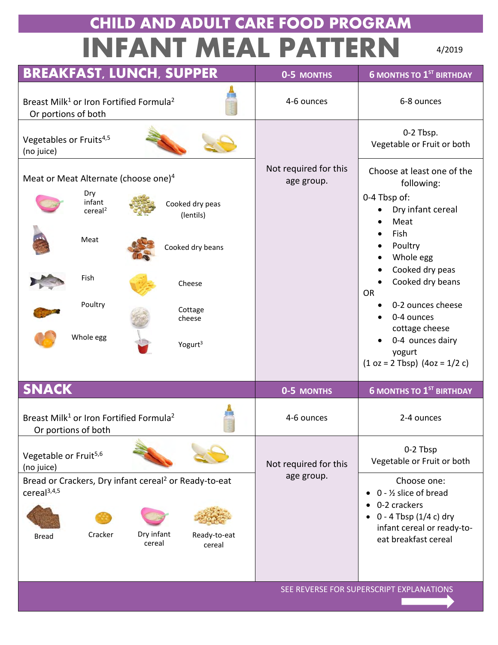## **CHILD AND ADULT CARE FOOD PROGRAM INFANT MEAL PATTERN**

4/2019

| <b>BREAKFAST, LUNCH, SUPPER</b>                                                              | 0-5 MONTHS                          | <b>6 MONTHS TO 1ST BIRTHDAY</b>                                                  |
|----------------------------------------------------------------------------------------------|-------------------------------------|----------------------------------------------------------------------------------|
| Breast Milk <sup>1</sup> or Iron Fortified Formula <sup>2</sup><br>Or portions of both       | 4-6 ounces                          | 6-8 ounces                                                                       |
| Vegetables or Fruits <sup>4,5</sup><br>(no juice)                                            |                                     | 0-2 Tbsp.<br>Vegetable or Fruit or both                                          |
| Meat or Meat Alternate (choose one) <sup>4</sup>                                             | Not required for this<br>age group. | Choose at least one of the<br>following:                                         |
| Dry<br>infant<br>Cooked dry peas<br>cereal <sup>2</sup><br>(lentils)                         |                                     | 0-4 Tbsp of:<br>Dry infant cereal<br>Meat                                        |
| Meat<br>Cooked dry beans                                                                     |                                     | Fish<br>Poultry<br>Whole egg                                                     |
| <b>Fish</b><br>Cheese                                                                        |                                     | Cooked dry peas<br>Cooked dry beans<br><b>OR</b>                                 |
| Poultry<br>Cottage<br>cheese                                                                 |                                     | 0-2 ounces cheese<br>0-4 ounces                                                  |
| Whole egg<br>Yogurt <sup>3</sup>                                                             |                                     | cottage cheese<br>0-4 ounces dairy<br>yogurt<br>$(1 oz = 2 T bsp) (4oz = 1/2 c)$ |
| <b>SNACK</b>                                                                                 | 0-5 MONTHS                          | <b>6 MONTHS TO 1ST BIRTHDAY</b>                                                  |
| Breast Milk <sup>1</sup> or Iron Fortified Formula <sup>2</sup><br>Or portions of both       | 4-6 ounces                          | 2-4 ounces                                                                       |
| Vegetable or Fruit <sup>5,6</sup><br>(no juice)                                              | Not required for this               | 0-2 Tbsp<br>Vegetable or Fruit or both                                           |
| Bread or Crackers, Dry infant cereal <sup>2</sup> or Ready-to-eat<br>cereal <sup>3,4,5</sup> | age group.                          | Choose one:<br>$0 - \frac{1}{2}$ slice of bread<br>0-2 crackers                  |
| Dry infant<br>Cracker<br>Ready-to-eat<br><b>Bread</b><br>cereal<br>cereal                    |                                     | $0 - 4$ Tbsp (1/4 c) dry<br>infant cereal or ready-to-<br>eat breakfast cereal   |
|                                                                                              |                                     |                                                                                  |